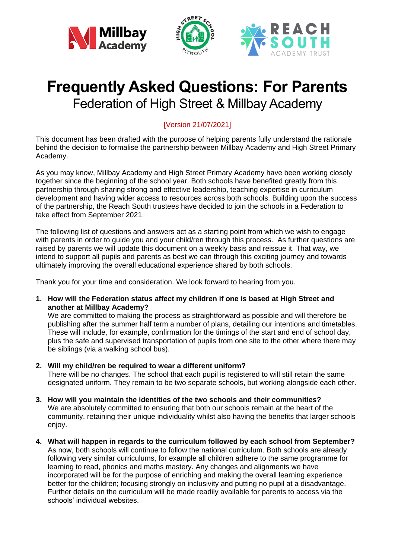



# **Frequently Asked Questions: For Parents** Federation of High Street & Millbay Academy

# [Version 21/07/2021]

This document has been drafted with the purpose of helping parents fully understand the rationale behind the decision to formalise the partnership between Millbay Academy and High Street Primary Academy.

As you may know, Millbay Academy and High Street Primary Academy have been working closely together since the beginning of the school year. Both schools have benefited greatly from this partnership through sharing strong and effective leadership, teaching expertise in curriculum development and having wider access to resources across both schools. Building upon the success of the partnership, the Reach South trustees have decided to join the schools in a Federation to take effect from September 2021.

The following list of questions and answers act as a starting point from which we wish to engage with parents in order to guide you and your child/ren through this process. As further questions are raised by parents we will update this document on a weekly basis and reissue it. That way, we intend to support all pupils and parents as best we can through this exciting journey and towards ultimately improving the overall educational experience shared by both schools.

Thank you for your time and consideration. We look forward to hearing from you.

**1. How will the Federation status affect my children if one is based at High Street and another at Millbay Academy?**

We are committed to making the process as straightforward as possible and will therefore be publishing after the summer half term a number of plans, detailing our intentions and timetables. These will include, for example, confirmation for the timings of the start and end of school day, plus the safe and supervised transportation of pupils from one site to the other where there may be siblings (via a walking school bus).

**2. Will my child/ren be required to wear a different uniform?**

There will be no changes. The school that each pupil is registered to will still retain the same designated uniform. They remain to be two separate schools, but working alongside each other.

- **3. How will you maintain the identities of the two schools and their communities?** We are absolutely committed to ensuring that both our schools remain at the heart of the community, retaining their unique individuality whilst also having the benefits that larger schools enjoy.
- **4. What will happen in regards to the curriculum followed by each school from September?** As now, both schools will continue to follow the national curriculum. Both schools are already following very similar curriculums, for example all children adhere to the same programme for learning to read, phonics and maths mastery. Any changes and alignments we have incorporated will be for the purpose of enriching and making the overall learning experience better for the children; focusing strongly on inclusivity and putting no pupil at a disadvantage. Further details on the curriculum will be made readily available for parents to access via the schools' individual websites.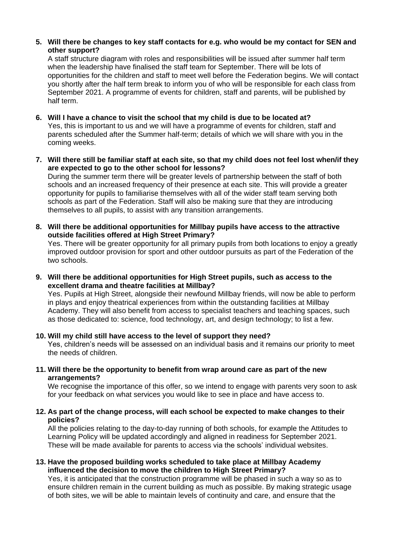## **5. Will there be changes to key staff contacts for e.g. who would be my contact for SEN and other support?**

A staff structure diagram with roles and responsibilities will be issued after summer half term when the leadership have finalised the staff team for September. There will be lots of opportunities for the children and staff to meet well before the Federation begins. We will contact you shortly after the half term break to inform you of who will be responsible for each class from September 2021. A programme of events for children, staff and parents, will be published by half term.

- **6. Will I have a chance to visit the school that my child is due to be located at?** Yes, this is important to us and we will have a programme of events for children, staff and parents scheduled after the Summer half-term; details of which we will share with you in the coming weeks.
- **7. Will there still be familiar staff at each site, so that my child does not feel lost when/if they are expected to go to the other school for lessons?**

During the summer term there will be greater levels of partnership between the staff of both schools and an increased frequency of their presence at each site. This will provide a greater opportunity for pupils to familiarise themselves with all of the wider staff team serving both schools as part of the Federation. Staff will also be making sure that they are introducing themselves to all pupils, to assist with any transition arrangements.

**8. Will there be additional opportunities for Millbay pupils have access to the attractive outside facilities offered at High Street Primary?** Yes. There will be greater opportunity for all primary pupils from both locations to enjoy a greatly

improved outdoor provision for sport and other outdoor pursuits as part of the Federation of the two schools.

**9. Will there be additional opportunities for High Street pupils, such as access to the excellent drama and theatre facilities at Millbay?**

Yes. Pupils at High Street, alongside their newfound Millbay friends, will now be able to perform in plays and enjoy theatrical experiences from within the outstanding facilities at Millbay Academy. They will also benefit from access to specialist teachers and teaching spaces, such as those dedicated to: science, food technology, art, and design technology; to list a few.

# **10. Will my child still have access to the level of support they need?**

Yes, children's needs will be assessed on an individual basis and it remains our priority to meet the needs of children.

**11. Will there be the opportunity to benefit from wrap around care as part of the new arrangements?**

We recognise the importance of this offer, so we intend to engage with parents very soon to ask for your feedback on what services you would like to see in place and have access to.

## **12. As part of the change process, will each school be expected to make changes to their policies?**

All the policies relating to the day-to-day running of both schools, for example the Attitudes to Learning Policy will be updated accordingly and aligned in readiness for September 2021. These will be made available for parents to access via the schools' individual websites.

## **13. Have the proposed building works scheduled to take place at Millbay Academy influenced the decision to move the children to High Street Primary?**

Yes, it is anticipated that the construction programme will be phased in such a way so as to ensure children remain in the current building as much as possible. By making strategic usage of both sites, we will be able to maintain levels of continuity and care, and ensure that the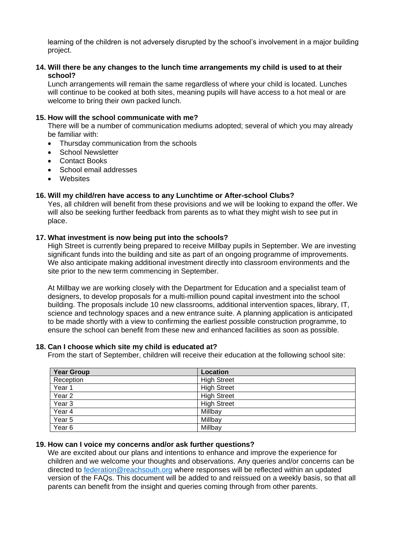learning of the children is not adversely disrupted by the school's involvement in a major building project.

## **14. Will there be any changes to the lunch time arrangements my child is used to at their school?**

Lunch arrangements will remain the same regardless of where your child is located. Lunches will continue to be cooked at both sites, meaning pupils will have access to a hot meal or are welcome to bring their own packed lunch.

#### **15. How will the school communicate with me?**

There will be a number of communication mediums adopted; several of which you may already be familiar with:

- Thursday communication from the schools
- School Newsletter
- Contact Books
- School email addresses
- Websites

## **16. Will my child/ren have access to any Lunchtime or After-school Clubs?**

Yes, all children will benefit from these provisions and we will be looking to expand the offer**.** We will also be seeking further feedback from parents as to what they might wish to see put in place.

#### **17. What investment is now being put into the schools?**

High Street is currently being prepared to receive Millbay pupils in September. We are investing significant funds into the building and site as part of an ongoing programme of improvements. We also anticipate making additional investment directly into classroom environments and the site prior to the new term commencing in September.

At Millbay we are working closely with the Department for Education and a specialist team of designers, to develop proposals for a multi-million pound capital investment into the school building. The proposals include 10 new classrooms, additional intervention spaces, library, IT, science and technology spaces and a new entrance suite. A planning application is anticipated to be made shortly with a view to confirming the earliest possible construction programme, to ensure the school can benefit from these new and enhanced facilities as soon as possible.

#### **18. Can I choose which site my child is educated at?**

From the start of September, children will receive their education at the following school site:

| <b>Year Group</b> | Location           |
|-------------------|--------------------|
| Reception         | <b>High Street</b> |
| Year 1            | <b>High Street</b> |
| Year <sub>2</sub> | <b>High Street</b> |
| Year <sub>3</sub> | <b>High Street</b> |
| Year 4            | Millbay            |
| Year 5            | Millbay            |
| Year <sub>6</sub> | Millbay            |

#### **19. How can I voice my concerns and/or ask further questions?**

We are excited about our plans and intentions to enhance and improve the experience for children and we welcome your thoughts and observations. Any queries and/or concerns can be directed to [federation@reachsouth.org](mailto:federation@reachsouth.org) where responses will be reflected within an updated version of the FAQs. This document will be added to and reissued on a weekly basis, so that all parents can benefit from the insight and queries coming through from other parents.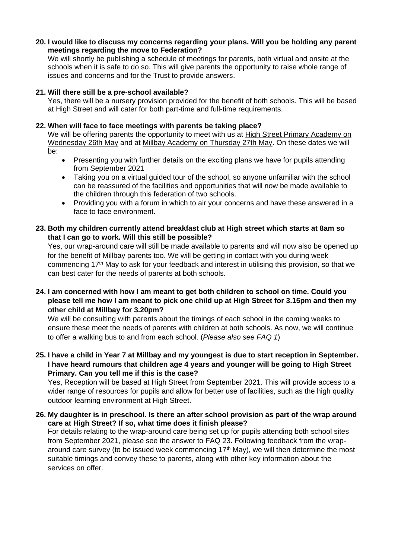#### **20. I would like to discuss my concerns regarding your plans. Will you be holding any parent meetings regarding the move to Federation?**

We will shortly be publishing a schedule of meetings for parents, both virtual and onsite at the schools when it is safe to do so. This will give parents the opportunity to raise whole range of issues and concerns and for the Trust to provide answers.

## **21. Will there still be a pre-school available?**

Yes, there will be a nursery provision provided for the benefit of both schools. This will be based at High Street and will cater for both part-time and full-time requirements.

## **22. When will face to face meetings with parents be taking place?**

We will be offering parents the opportunity to meet with us at High Street Primary Academy on Wednesday 26th May and at Millbay Academy on Thursday 27th May. On these dates we will be:

- Presenting you with further details on the exciting plans we have for pupils attending from September 2021
- Taking you on a virtual quided tour of the school, so anyone unfamiliar with the school can be reassured of the facilities and opportunities that will now be made available to the children through this federation of two schools.
- Providing you with a forum in which to air your concerns and have these answered in a face to face environment.

## **23. Both my children currently attend breakfast club at High street which starts at 8am so that I can go to work. Will this still be possible?**

Yes, our wrap-around care will still be made available to parents and will now also be opened up for the benefit of Millbay parents too. We will be getting in contact with you during week commencing 17th May to ask for your feedback and interest in utilising this provision, so that we can best cater for the needs of parents at both schools.

# **24. I am concerned with how I am meant to get both children to school on time. Could you please tell me how I am meant to pick one child up at High Street for 3.15pm and then my other child at Millbay for 3.20pm?**

We will be consulting with parents about the timings of each school in the coming weeks to ensure these meet the needs of parents with children at both schools. As now, we will continue to offer a walking bus to and from each school. (*Please also see FAQ 1*)

# **25. I have a child in Year 7 at Millbay and my youngest is due to start reception in September. I have heard rumours that children age 4 years and younger will be going to High Street Primary. Can you tell me if this is the case?**

Yes, Reception will be based at High Street from September 2021. This will provide access to a wider range of resources for pupils and allow for better use of facilities, such as the high quality outdoor learning environment at High Street.

# **26. My daughter is in preschool. Is there an after school provision as part of the wrap around care at High Street? If so, what time does it finish please?**

For details relating to the wrap-around care being set up for pupils attending both school sites from September 2021, please see the answer to FAQ 23. Following feedback from the wraparound care survey (to be issued week commencing  $17<sup>th</sup>$  May), we will then determine the most suitable timings and convey these to parents, along with other key information about the services on offer.